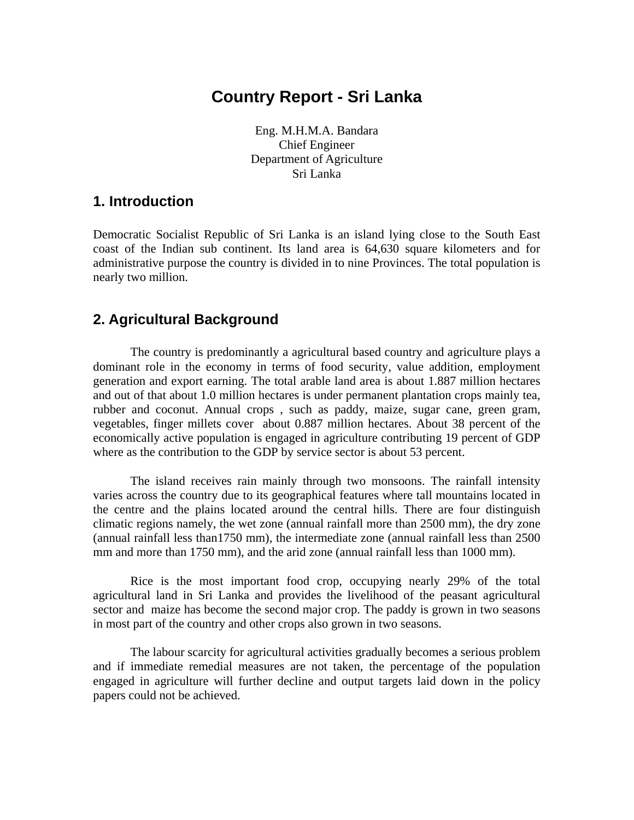# **Country Report - Sri Lanka**

Eng. M.H.M.A. Bandara Chief Engineer Department of Agriculture Sri Lanka

### **1. Introduction**

Democratic Socialist Republic of Sri Lanka is an island lying close to the South East coast of the Indian sub continent. Its land area is 64,630 square kilometers and for administrative purpose the country is divided in to nine Provinces. The total population is nearly two million.

### **2. Agricultural Background**

The country is predominantly a agricultural based country and agriculture plays a dominant role in the economy in terms of food security, value addition, employment generation and export earning. The total arable land area is about 1.887 million hectares and out of that about 1.0 million hectares is under permanent plantation crops mainly tea, rubber and coconut. Annual crops , such as paddy, maize, sugar cane, green gram, vegetables, finger millets cover about 0.887 million hectares. About 38 percent of the economically active population is engaged in agriculture contributing 19 percent of GDP where as the contribution to the GDP by service sector is about 53 percent.

The island receives rain mainly through two monsoons. The rainfall intensity varies across the country due to its geographical features where tall mountains located in the centre and the plains located around the central hills. There are four distinguish climatic regions namely, the wet zone (annual rainfall more than 2500 mm), the dry zone (annual rainfall less than1750 mm), the intermediate zone (annual rainfall less than 2500 mm and more than 1750 mm), and the arid zone (annual rainfall less than 1000 mm).

Rice is the most important food crop, occupying nearly 29% of the total agricultural land in Sri Lanka and provides the livelihood of the peasant agricultural sector and maize has become the second major crop. The paddy is grown in two seasons in most part of the country and other crops also grown in two seasons.

The labour scarcity for agricultural activities gradually becomes a serious problem and if immediate remedial measures are not taken, the percentage of the population engaged in agriculture will further decline and output targets laid down in the policy papers could not be achieved.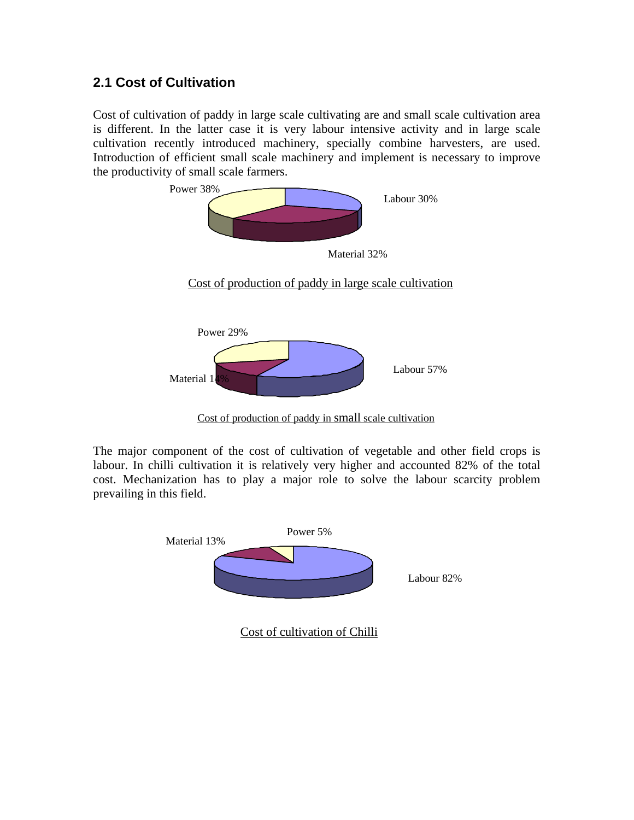### **2.1 Cost of Cultivation**

Cost of cultivation of paddy in large scale cultivating are and small scale cultivation area is different. In the latter case it is very labour intensive activity and in large scale cultivation recently introduced machinery, specially combine harvesters, are used. Introduction of efficient small scale machinery and implement is necessary to improve the productivity of small scale farmers.



Cost of production of paddy in small scale cultivation

The major component of the cost of cultivation of vegetable and other field crops is labour. In chilli cultivation it is relatively very higher and accounted 82% of the total cost. Mechanization has to play a major role to solve the labour scarcity problem prevailing in this field.

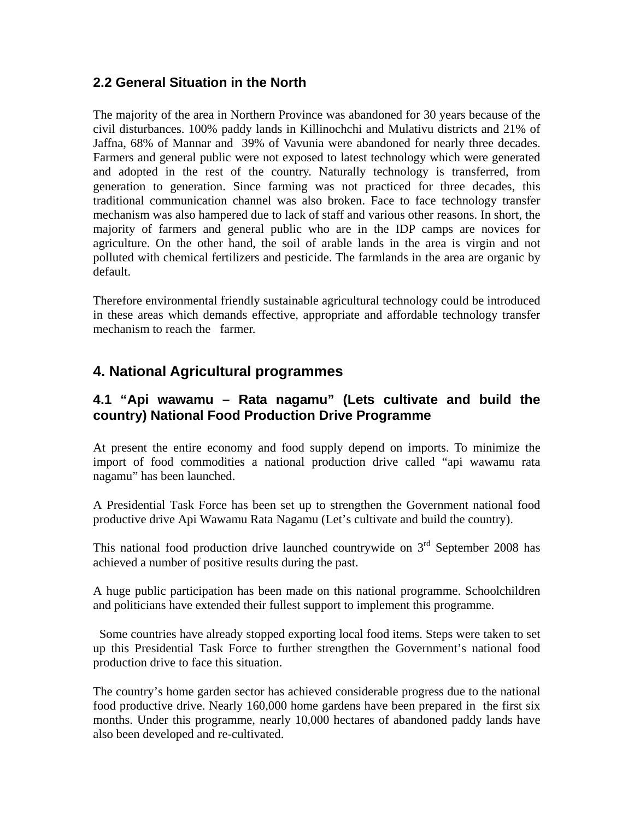#### **2.2 General Situation in the North**

The majority of the area in Northern Province was abandoned for 30 years because of the civil disturbances. 100% paddy lands in Killinochchi and Mulativu districts and 21% of Jaffna, 68% of Mannar and 39% of Vavunia were abandoned for nearly three decades. Farmers and general public were not exposed to latest technology which were generated and adopted in the rest of the country. Naturally technology is transferred, from generation to generation. Since farming was not practiced for three decades, this traditional communication channel was also broken. Face to face technology transfer mechanism was also hampered due to lack of staff and various other reasons. In short, the majority of farmers and general public who are in the IDP camps are novices for agriculture. On the other hand, the soil of arable lands in the area is virgin and not polluted with chemical fertilizers and pesticide. The farmlands in the area are organic by default.

Therefore environmental friendly sustainable agricultural technology could be introduced in these areas which demands effective, appropriate and affordable technology transfer mechanism to reach the farmer.

# **4. National Agricultural programmes**

#### **4.1 "Api wawamu – Rata nagamu" (Lets cultivate and build the country) National Food Production Drive Programme**

At present the entire economy and food supply depend on imports. To minimize the import of food commodities a national production drive called "api wawamu rata nagamu" has been launched.

A Presidential Task Force has been set up to strengthen the Government national food productive drive Api Wawamu Rata Nagamu (Let's cultivate and build the country).

This national food production drive launched countrywide on  $3<sup>rd</sup>$  September 2008 has achieved a number of positive results during the past.

A huge public participation has been made on this national programme. Schoolchildren and politicians have extended their fullest support to implement this programme.

 Some countries have already stopped exporting local food items. Steps were taken to set up this Presidential Task Force to further strengthen the Government's national food production drive to face this situation.

The country's home garden sector has achieved considerable progress due to the national food productive drive. Nearly 160,000 home gardens have been prepared in the first six months. Under this programme, nearly 10,000 hectares of abandoned paddy lands have also been developed and re-cultivated.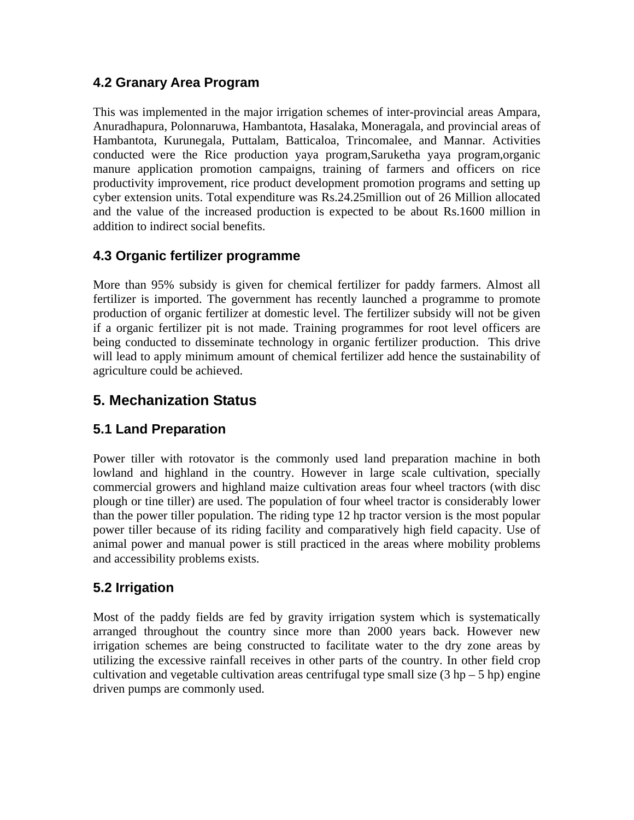### **4.2 Granary Area Program**

This was implemented in the major irrigation schemes of inter-provincial areas Ampara, Anuradhapura, Polonnaruwa, Hambantota, Hasalaka, Moneragala, and provincial areas of Hambantota, Kurunegala, Puttalam, Batticaloa, Trincomalee, and Mannar. Activities conducted were the Rice production yaya program,Saruketha yaya program,organic manure application promotion campaigns, training of farmers and officers on rice productivity improvement, rice product development promotion programs and setting up cyber extension units. Total expenditure was Rs.24.25million out of 26 Million allocated and the value of the increased production is expected to be about Rs.1600 million in addition to indirect social benefits.

### **4.3 Organic fertilizer programme**

More than 95% subsidy is given for chemical fertilizer for paddy farmers. Almost all fertilizer is imported. The government has recently launched a programme to promote production of organic fertilizer at domestic level. The fertilizer subsidy will not be given if a organic fertilizer pit is not made. Training programmes for root level officers are being conducted to disseminate technology in organic fertilizer production. This drive will lead to apply minimum amount of chemical fertilizer add hence the sustainability of agriculture could be achieved.

# **5. Mechanization Status**

### **5.1 Land Preparation**

Power tiller with rotovator is the commonly used land preparation machine in both lowland and highland in the country. However in large scale cultivation, specially commercial growers and highland maize cultivation areas four wheel tractors (with disc plough or tine tiller) are used. The population of four wheel tractor is considerably lower than the power tiller population. The riding type 12 hp tractor version is the most popular power tiller because of its riding facility and comparatively high field capacity. Use of animal power and manual power is still practiced in the areas where mobility problems and accessibility problems exists.

## **5.2 Irrigation**

Most of the paddy fields are fed by gravity irrigation system which is systematically arranged throughout the country since more than 2000 years back. However new irrigation schemes are being constructed to facilitate water to the dry zone areas by utilizing the excessive rainfall receives in other parts of the country. In other field crop cultivation and vegetable cultivation areas centrifugal type small size  $(3 hp - 5 hp)$  engine driven pumps are commonly used.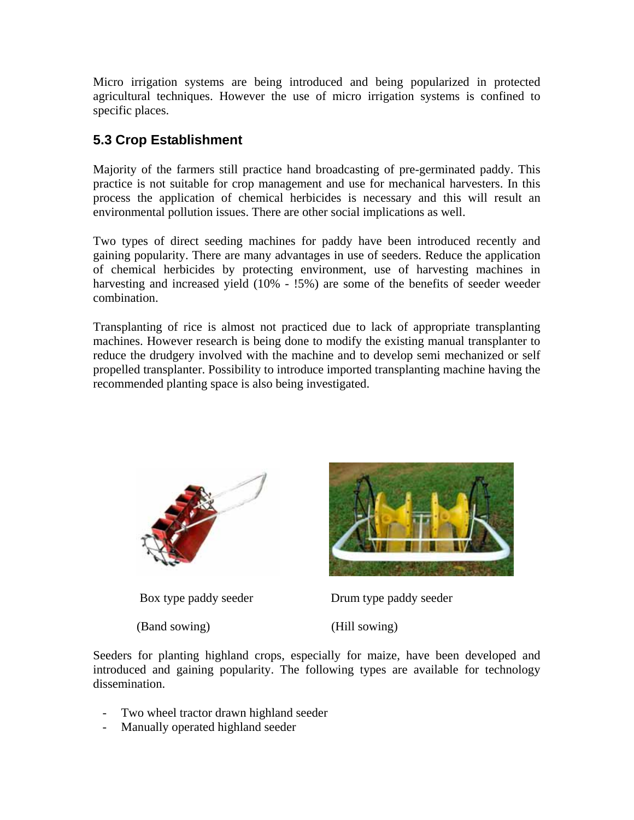Micro irrigation systems are being introduced and being popularized in protected agricultural techniques. However the use of micro irrigation systems is confined to specific places.

### **5.3 Crop Establishment**

Majority of the farmers still practice hand broadcasting of pre-germinated paddy. This practice is not suitable for crop management and use for mechanical harvesters. In this process the application of chemical herbicides is necessary and this will result an environmental pollution issues. There are other social implications as well.

Two types of direct seeding machines for paddy have been introduced recently and gaining popularity. There are many advantages in use of seeders. Reduce the application of chemical herbicides by protecting environment, use of harvesting machines in harvesting and increased yield (10% -  $15\%$ ) are some of the benefits of seeder weeder combination.

Transplanting of rice is almost not practiced due to lack of appropriate transplanting machines. However research is being done to modify the existing manual transplanter to reduce the drudgery involved with the machine and to develop semi mechanized or self propelled transplanter. Possibility to introduce imported transplanting machine having the recommended planting space is also being investigated.



(Band sowing) (Hill sowing)



Box type paddy seeder Drum type paddy seeder

Seeders for planting highland crops, especially for maize, have been developed and introduced and gaining popularity. The following types are available for technology dissemination.

- Two wheel tractor drawn highland seeder
- Manually operated highland seeder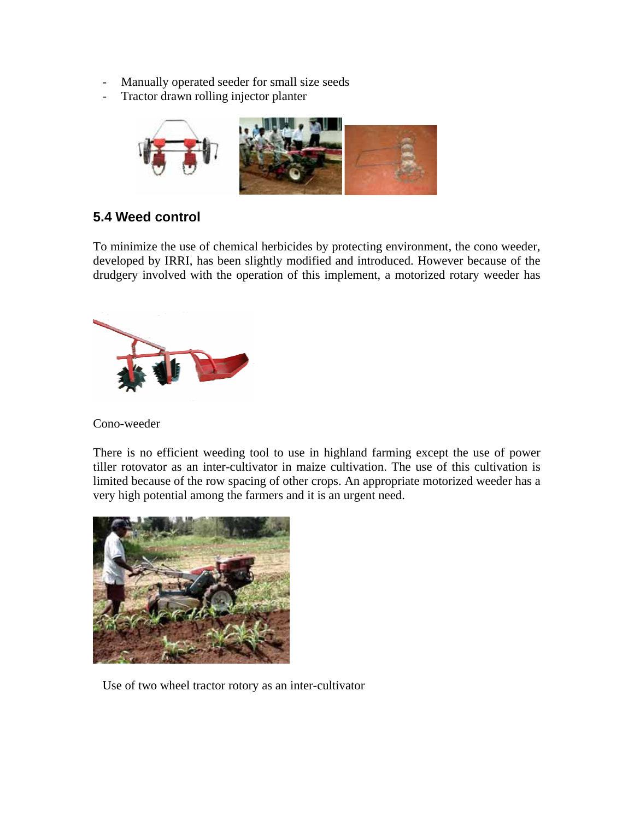- Manually operated seeder for small size seeds
- Tractor drawn rolling injector planter



## **5.4 Weed control**

To minimize the use of chemical herbicides by protecting environment, the cono weeder, developed by IRRI, has been slightly modified and introduced. However because of the drudgery involved with the operation of this implement, a motorized rotary weeder has



Cono-weeder

There is no efficient weeding tool to use in highland farming except the use of power tiller rotovator as an inter-cultivator in maize cultivation. The use of this cultivation is limited because of the row spacing of other crops. An appropriate motorized weeder has a very high potential among the farmers and it is an urgent need.



Use of two wheel tractor rotory as an inter-cultivator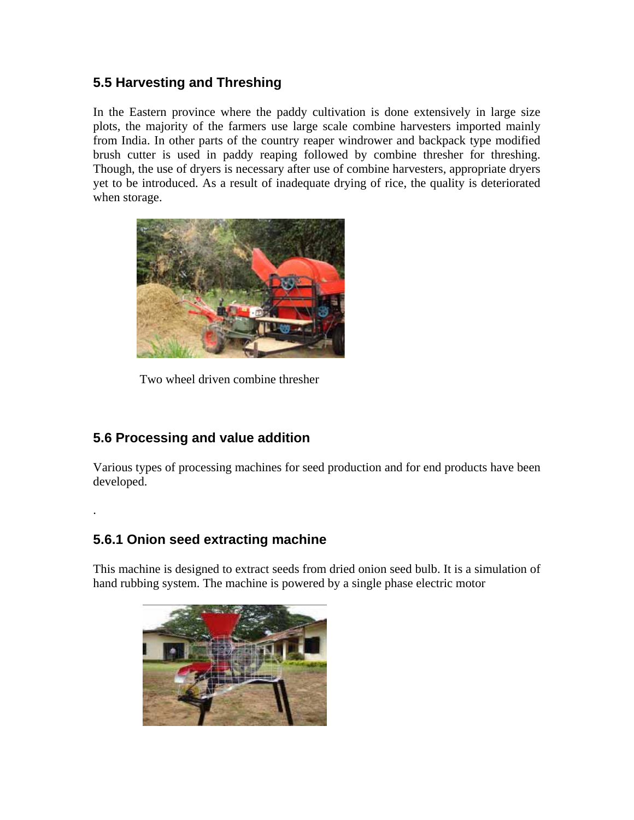### **5.5 Harvesting and Threshing**

In the Eastern province where the paddy cultivation is done extensively in large size plots, the majority of the farmers use large scale combine harvesters imported mainly from India. In other parts of the country reaper windrower and backpack type modified brush cutter is used in paddy reaping followed by combine thresher for threshing. Though, the use of dryers is necessary after use of combine harvesters, appropriate dryers yet to be introduced. As a result of inadequate drying of rice, the quality is deteriorated when storage.



Two wheel driven combine thresher

## **5.6 Processing and value addition**

Various types of processing machines for seed production and for end products have been developed.

### **5.6.1 Onion seed extracting machine**

.

This machine is designed to extract seeds from dried onion seed bulb. It is a simulation of hand rubbing system. The machine is powered by a single phase electric motor

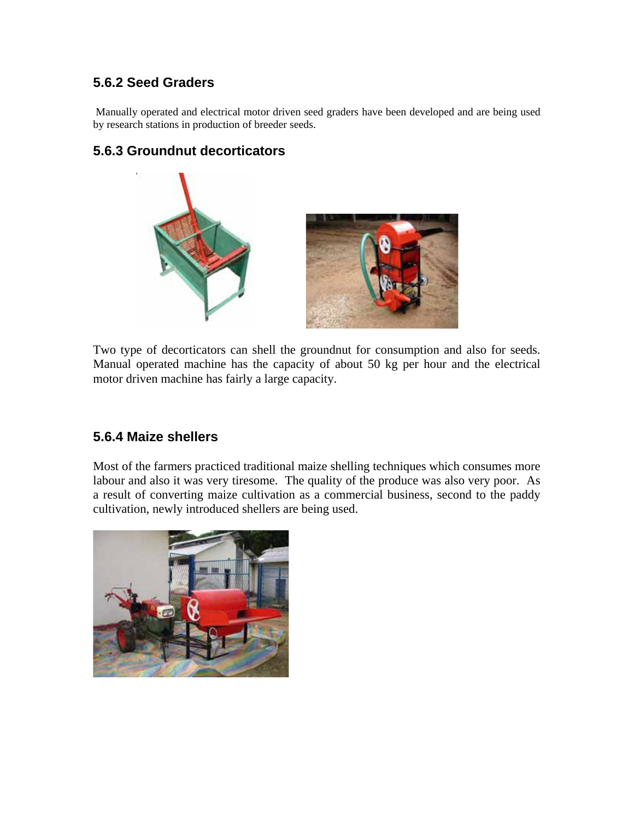### **5.6.2 Seed Graders**

Manually operated and electrical motor driven seed graders have been developed and are being used by research stations in production of breeder seeds.

#### **5.6.3 Groundnut decorticators**



Two type of decorticators can shell the groundnut for consumption and also for seeds. Manual operated machine has the capacity of about 50 kg per hour and the electrical motor driven machine has fairly a large capacity.

#### **5.6.4 Maize shellers**

Most of the farmers practiced traditional maize shelling techniques which consumes more labour and also it was very tiresome. The quality of the produce was also very poor. As a result of converting maize cultivation as a commercial business, second to the paddy cultivation, newly introduced shellers are being used.